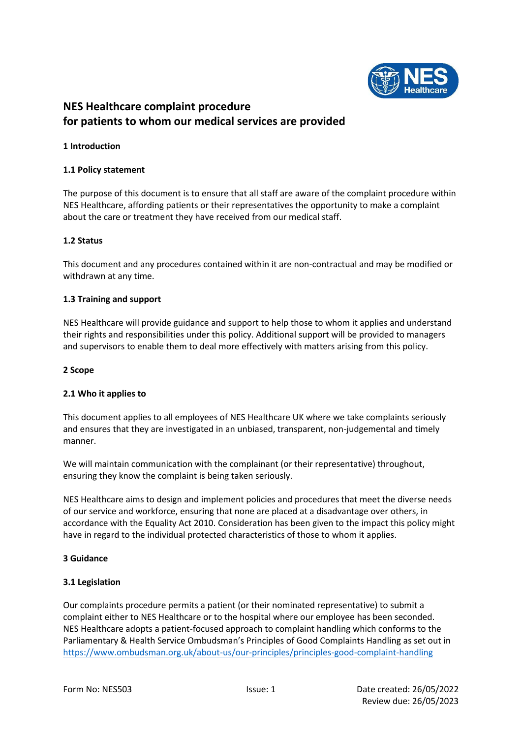

# **NES Healthcare complaint procedure for patients to whom our medical services are provided**

## **1 Introduction**

## **1.1 Policy statement**

The purpose of this document is to ensure that all staff are aware of the complaint procedure within NES Healthcare, affording patients or their representatives the opportunity to make a complaint about the care or treatment they have received from our medical staff.

## **1.2 Status**

This document and any procedures contained within it are non-contractual and may be modified or withdrawn at any time.

## **1.3 Training and support**

NES Healthcare will provide guidance and support to help those to whom it applies and understand their rights and responsibilities under this policy. Additional support will be provided to managers and supervisors to enable them to deal more effectively with matters arising from this policy.

### **2 Scope**

## **2.1 Who it applies to**

This document applies to all employees of NES Healthcare UK where we take complaints seriously and ensures that they are investigated in an unbiased, transparent, non-judgemental and timely manner.

We will maintain communication with the complainant (or their representative) throughout, ensuring they know the complaint is being taken seriously.

NES Healthcare aims to design and implement policies and procedures that meet the diverse needs of our service and workforce, ensuring that none are placed at a disadvantage over others, in accordance with the Equality Act 2010. Consideration has been given to the impact this policy might have in regard to the individual protected characteristics of those to whom it applies.

## **3 Guidance**

## **3.1 Legislation**

Our complaints procedure permits a patient (or their nominated representative) to submit a complaint either to NES Healthcare or to the hospital where our employee has been seconded. NES Healthcare adopts a patient-focused approach to complaint handling which conforms to the Parliamentary & Health Service Ombudsman's Principles of Good Complaints Handling as set out in <https://www.ombudsman.org.uk/about-us/our-principles/principles-good-complaint-handling>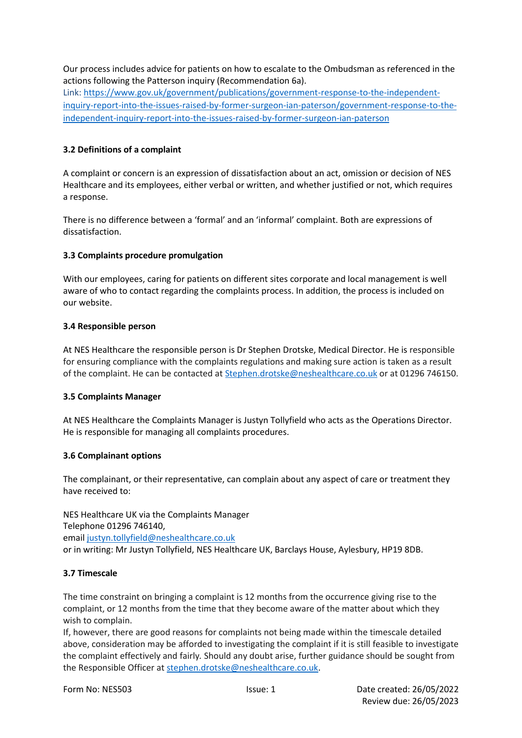Our process includes advice for patients on how to escalate to the Ombudsman as referenced in the actions following the Patterson inquiry (Recommendation 6a).

Link: [https://www.gov.uk/government/publications/government-response-to-the-independent](https://www.gov.uk/government/publications/government-response-to-the-independent-inquiry-report-into-the-issues-raised-by-former-surgeon-ian-paterson/government-response-to-the-independent-inquiry-report-into-the-issues-raised-by-former-surgeon-ian-paterson)[inquiry-report-into-the-issues-raised-by-former-surgeon-ian-paterson/government-response-to-the](https://www.gov.uk/government/publications/government-response-to-the-independent-inquiry-report-into-the-issues-raised-by-former-surgeon-ian-paterson/government-response-to-the-independent-inquiry-report-into-the-issues-raised-by-former-surgeon-ian-paterson)[independent-inquiry-report-into-the-issues-raised-by-former-surgeon-ian-paterson](https://www.gov.uk/government/publications/government-response-to-the-independent-inquiry-report-into-the-issues-raised-by-former-surgeon-ian-paterson/government-response-to-the-independent-inquiry-report-into-the-issues-raised-by-former-surgeon-ian-paterson)

# **3.2 Definitions of a complaint**

A complaint or concern is an expression of dissatisfaction about an act, omission or decision of NES Healthcare and its employees, either verbal or written, and whether justified or not, which requires a response.

There is no difference between a 'formal' and an 'informal' complaint. Both are expressions of dissatisfaction.

# **3.3 Complaints procedure promulgation**

With our employees, caring for patients on different sites corporate and local management is well aware of who to contact regarding the complaints process. In addition, the process is included on our website.

# **3.4 Responsible person**

At NES Healthcare the responsible person is Dr Stephen Drotske, Medical Director. He is responsible for ensuring compliance with the complaints regulations and making sure action is taken as a result of the complaint. He can be contacted at **Stephen.drotske@neshealthcare.co.uk** or at 01296 746150.

# **3.5 Complaints Manager**

At NES Healthcare the Complaints Manager is Justyn Tollyfield who acts as the Operations Director. He is responsible for managing all complaints procedures.

# **3.6 Complainant options**

The complainant, or their representative, can complain about any aspect of care or treatment they have received to:

NES Healthcare UK via the Complaints Manager Telephone 01296 746140, email [justyn.tollyfield@neshealthcare.co.uk](mailto:justyn.tollyfield@neshealthcare.co.uk) or in writing: Mr Justyn Tollyfield, NES Healthcare UK, Barclays House, Aylesbury, HP19 8DB.

# **3.7 Timescale**

The time constraint on bringing a complaint is 12 months from the occurrence giving rise to the complaint, or 12 months from the time that they become aware of the matter about which they wish to complain.

If, however, there are good reasons for complaints not being made within the timescale detailed above, consideration may be afforded to investigating the complaint if it is still feasible to investigate the complaint effectively and fairly*.* Should any doubt arise, further guidance should be sought from the Responsible Officer at [stephen.drotske@neshealthcare.co.uk.](mailto:stephen.drotske@neshealthcare.co.uk)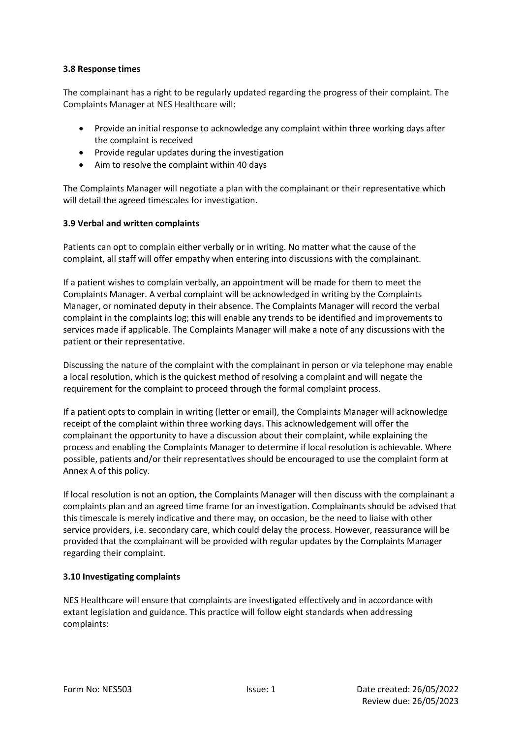## **3.8 Response times**

The complainant has a right to be regularly updated regarding the progress of their complaint. The Complaints Manager at NES Healthcare will:

- Provide an initial response to acknowledge any complaint within three working days after the complaint is received
- Provide regular updates during the investigation
- Aim to resolve the complaint within 40 days

The Complaints Manager will negotiate a plan with the complainant or their representative which will detail the agreed timescales for investigation.

## **3.9 Verbal and written complaints**

Patients can opt to complain either verbally or in writing. No matter what the cause of the complaint, all staff will offer empathy when entering into discussions with the complainant.

If a patient wishes to complain verbally, an appointment will be made for them to meet the Complaints Manager. A verbal complaint will be acknowledged in writing by the Complaints Manager, or nominated deputy in their absence. The Complaints Manager will record the verbal complaint in the complaints log; this will enable any trends to be identified and improvements to services made if applicable. The Complaints Manager will make a note of any discussions with the patient or their representative.

Discussing the nature of the complaint with the complainant in person or via telephone may enable a local resolution, which is the quickest method of resolving a complaint and will negate the requirement for the complaint to proceed through the formal complaint process.

If a patient opts to complain in writing (letter or email), the Complaints Manager will acknowledge receipt of the complaint within three working days. This acknowledgement will offer the complainant the opportunity to have a discussion about their complaint, while explaining the process and enabling the Complaints Manager to determine if local resolution is achievable. Where possible, patients and/or their representatives should be encouraged to use the complaint form at Annex A of this policy.

If local resolution is not an option, the Complaints Manager will then discuss with the complainant a complaints plan and an agreed time frame for an investigation. Complainants should be advised that this timescale is merely indicative and there may, on occasion, be the need to liaise with other service providers, i.e. secondary care, which could delay the process. However, reassurance will be provided that the complainant will be provided with regular updates by the Complaints Manager regarding their complaint.

# **3.10 Investigating complaints**

NES Healthcare will ensure that complaints are investigated effectively and in accordance with extant legislation and guidance. This practice will follow eight standards when addressing complaints: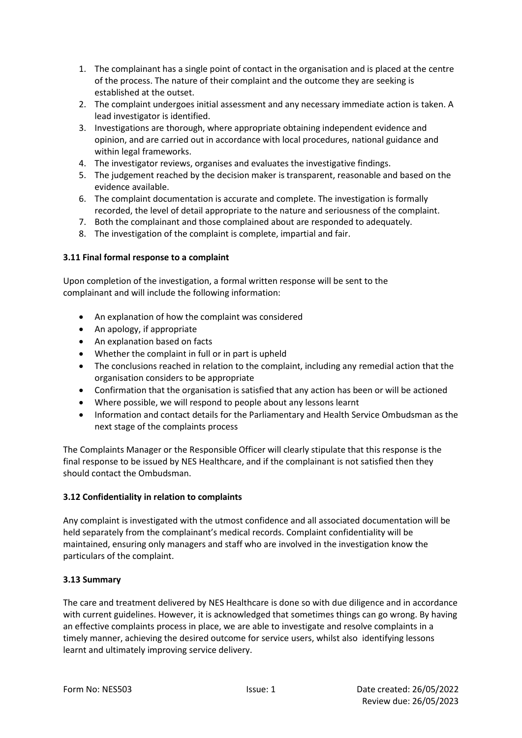- 1. The complainant has a single point of contact in the organisation and is placed at the centre of the process. The nature of their complaint and the outcome they are seeking is established at the outset.
- 2. The complaint undergoes initial assessment and any necessary immediate action is taken. A lead investigator is identified.
- 3. Investigations are thorough, where appropriate obtaining independent evidence and opinion, and are carried out in accordance with local procedures, national guidance and within legal frameworks.
- 4. The investigator reviews, organises and evaluates the investigative findings.
- 5. The judgement reached by the decision maker is transparent, reasonable and based on the evidence available.
- 6. The complaint documentation is accurate and complete. The investigation is formally recorded, the level of detail appropriate to the nature and seriousness of the complaint.
- 7. Both the complainant and those complained about are responded to adequately.
- 8. The investigation of the complaint is complete, impartial and fair.

## **3.11 Final formal response to a complaint**

Upon completion of the investigation, a formal written response will be sent to the complainant and will include the following information:

- An explanation of how the complaint was considered
- An apology, if appropriate
- An explanation based on facts
- Whether the complaint in full or in part is upheld
- The conclusions reached in relation to the complaint, including any remedial action that the organisation considers to be appropriate
- Confirmation that the organisation is satisfied that any action has been or will be actioned
- Where possible, we will respond to people about any lessons learnt
- Information and contact details for the Parliamentary and Health Service Ombudsman as the next stage of the complaints process

The Complaints Manager or the Responsible Officer will clearly stipulate that this response is the final response to be issued by NES Healthcare, and if the complainant is not satisfied then they should contact the Ombudsman.

## **3.12 Confidentiality in relation to complaints**

Any complaint is investigated with the utmost confidence and all associated documentation will be held separately from the complainant's medical records. Complaint confidentiality will be maintained, ensuring only managers and staff who are involved in the investigation know the particulars of the complaint.

## **3.13 Summary**

The care and treatment delivered by NES Healthcare is done so with due diligence and in accordance with current guidelines. However, it is acknowledged that sometimes things can go wrong. By having an effective complaints process in place, we are able to investigate and resolve complaints in a timely manner, achieving the desired outcome for service users, whilst also identifying lessons learnt and ultimately improving service delivery.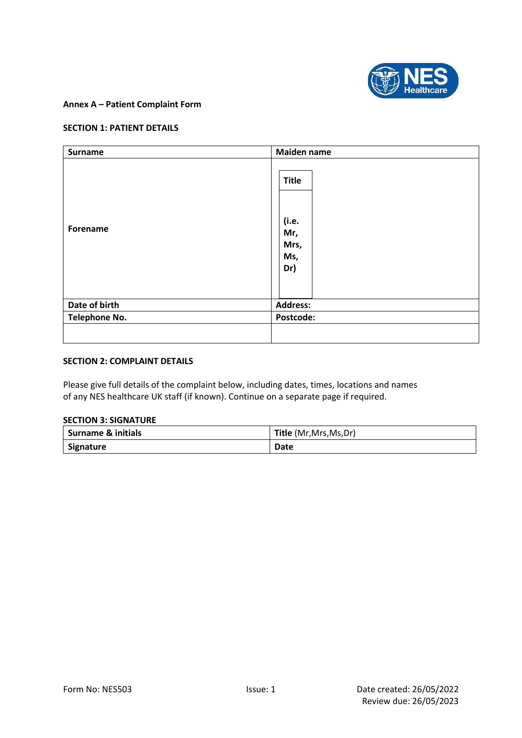

## **Annex A – Patient Complaint Form**

#### **SECTION 1: PATIENT DETAILS**

| <b>Surname</b>       | <b>Maiden name</b>                                 |
|----------------------|----------------------------------------------------|
| Forename             | <b>Title</b><br>(i.e.<br>Mr,<br>Mrs,<br>Ms,<br>Dr) |
| Date of birth        | <b>Address:</b>                                    |
| <b>Telephone No.</b> | Postcode:                                          |
|                      |                                                    |

## **SECTION 2: COMPLAINT DETAILS**

Please give full details of the complaint below, including dates, times, locations and names of any NES healthcare UK staff (if known). Continue on a separate page if required.

## **SECTION 3: SIGNATURE**

| <b>Surname &amp; initials</b> | Title (Mr, Mrs, Ms, Dr) |
|-------------------------------|-------------------------|
| Signature                     | <b>Date</b>             |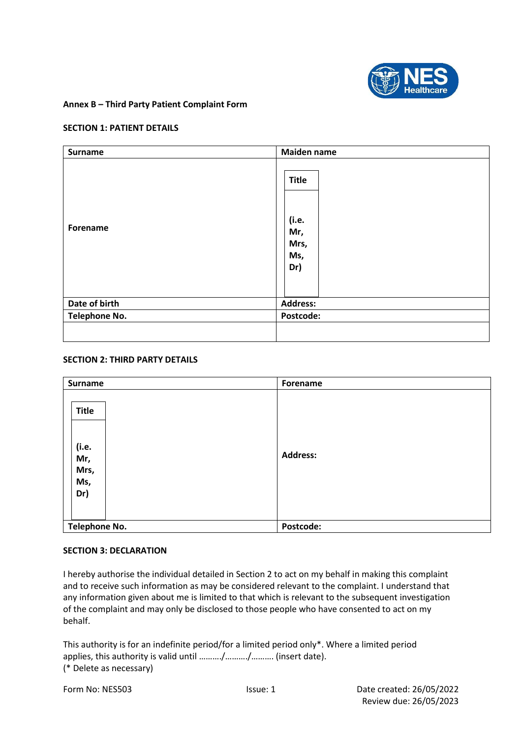

### **Annex B – Third Party Patient Complaint Form**

#### **SECTION 1: PATIENT DETAILS**

| <b>Surname</b> | Maiden name                                        |
|----------------|----------------------------------------------------|
| Forename       | <b>Title</b><br>(i.e.<br>Mr,<br>Mrs,<br>Ms,<br>Dr) |
| Date of birth  | <b>Address:</b>                                    |
| Telephone No.  | Postcode:                                          |
|                |                                                    |

#### **SECTION 2: THIRD PARTY DETAILS**

| <b>Surname</b>                              | Forename        |
|---------------------------------------------|-----------------|
| Title<br>(i.e.<br>Mr,<br>Mrs,<br>Ms,<br>Dr) | <b>Address:</b> |
| <b>Telephone No.</b>                        | Postcode:       |

### **SECTION 3: DECLARATION**

I hereby authorise the individual detailed in Section 2 to act on my behalf in making this complaint and to receive such information as may be considered relevant to the complaint. I understand that any information given about me is limited to that which is relevant to the subsequent investigation of the complaint and may only be disclosed to those people who have consented to act on my behalf.

This authority is for an indefinite period/for a limited period only\*. Where a limited period applies, this authority is valid until ………./………./………. (insert date). (\* Delete as necessary)